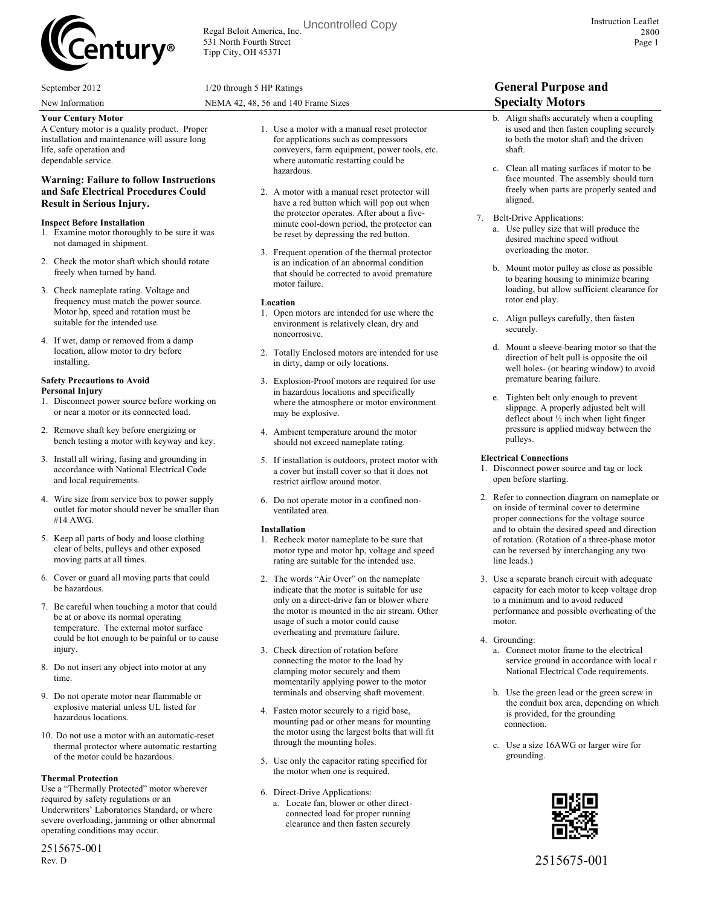

Regal Beloit America, Inc. Uncontrolled Copy531 North Fourth Street Tipp City, OH 45371

New Information NEMA 42, 48, 56 and 140 Frame Sizes **Specialty Motors**

A Century motor is a quality product. Proper installation and maintenance will assure long life, safe operation and dependable service.

#### **Warning: Failure to follow Instructions and Safe Electrical Procedures Could Result in Serious Injury.**

#### **Inspect Before Installation**

- 1. Examine motor thoroughly to be sure it was not damaged in shipment.
- 2. Check the motor shaft which should rotate freely when turned by hand.
- 3. Check nameplate rating. Voltage and frequency must match the power source. Motor hp, speed and rotation must be suitable for the intended use.
- 4. If wet, damp or removed from a damp location, allow motor to dry before installing.

### **Safety Precautions to Avoid**

- **Personal Injury** 1. Disconnect power source before working on
- or near a motor or its connected load.
- 2. Remove shaft key before energizing or bench testing a motor with keyway and key.
- 3. Install all wiring, fusing and grounding in accordance with National Electrical Code and local requirements.
- 4. Wire size from service box to power supply outlet for motor should never be smaller than #14 AWG.
- 5. Keep all parts of body and loose clothing clear of belts, pulleys and other exposed moving parts at all times.
- 6. Cover or guard all moving parts that could be hazardous.
- 7. Be careful when touching a motor that could be at or above its normal operating temperature. The external motor surface could be hot enough to be painful or to cause injury.
- 8. Do not insert any object into motor at any time.
- 9. Do not operate motor near flammable or explosive material unless UL listed for hazardous locations.
- 10. Do not use a motor with an automatic-reset thermal protector where automatic restarting of the motor could be hazardous.

#### **Thermal Protection**

Use a "Thermally Protected" motor wherever required by safety regulations or an Underwriters' Laboratories Standard, or where severe overloading, jamming or other abnormal operating conditions may occur.

2515675-001 Rev. D

- 2. A motor with a manual reset protector will have a red button which will pop out when the protector operates. After about a fiveminute cool-down period, the protector can be reset by depressing the red button.
- 3. Frequent operation of the thermal protector is an indication of an abnormal condition that should be corrected to avoid premature motor failure.

#### **Location**

- 1. Open motors are intended for use where the environment is relatively clean, dry and noncorrosive.
- 2. Totally Enclosed motors are intended for use in dirty, damp or oily locations.
- 3. Explosion-Proof motors are required for use in hazardous locations and specifically where the atmosphere or motor environment may be explosive.
- 4. Ambient temperature around the motor should not exceed nameplate rating.
- 5. If installation is outdoors, protect motor with a cover but install cover so that it does not restrict airflow around motor.
- 6. Do not operate motor in a confined nonventilated area.

#### **Installation**

- 1. Recheck motor nameplate to be sure that motor type and motor hp, voltage and speed rating are suitable for the intended use.
- 2. The words "Air Over" on the nameplate indicate that the motor is suitable for use only on a direct-drive fan or blower where the motor is mounted in the air stream. Other usage of such a motor could cause overheating and premature failure.
- 3. Check direction of rotation before connecting the motor to the load by clamping motor securely and them momentarily applying power to the motor terminals and observing shaft movement.
- 4. Fasten motor securely to a rigid base, mounting pad or other means for mounting the motor using the largest bolts that will fit through the mounting holes.
- 5. Use only the capacitor rating specified for the motor when one is required.
- 6. Direct-Drive Applications: a. Locate fan, blower or other directconnected load for proper running clearance and then fasten securely

## September 2012 **1/20 through 5 HP Ratings General Purpose and**

- b. Align shafts accurately when a coupling is used and then fasten coupling securely to both the motor shaft and the driven shaft.
- c. Clean all mating surfaces if motor to be face mounted. The assembly should turn freely when parts are properly seated and aligned.
- 7. Belt-Drive Applications:
	- a. Use pulley size that will produce the desired machine speed without overloading the motor.
	- b. Mount motor pulley as close as possible to bearing housing to minimize bearing loading, but allow sufficient clearance for rotor end play.
	- c. Align pulleys carefully, then fasten securely.
	- d. Mount a sleeve-bearing motor so that the direction of belt pull is opposite the oil well holes- (or bearing window) to avoid premature bearing failure.
	- e. Tighten belt only enough to prevent slippage. A properly adjusted belt will deflect about ½ inch when light finger pressure is applied midway between the pulleys.

#### **Electrical Connections**

- 1. Disconnect power source and tag or lock open before starting.
- 2. Refer to connection diagram on nameplate or on inside of terminal cover to determine proper connections for the voltage source and to obtain the desired speed and direction of rotation. (Rotation of a three-phase motor can be reversed by interchanging any two line leads.)
- 3. Use a separate branch circuit with adequate capacity for each motor to keep voltage drop to a minimum and to avoid reduced performance and possible overheating of the motor.
- 4. Grounding:
	- a. Connect motor frame to the electrical service ground in accordance with local r National Electrical Code requirements.
	- b. Use the green lead or the green screw in the conduit box area, depending on which is provided, for the grounding connection.
	- c. Use a size 16AWG or larger wire for grounding.